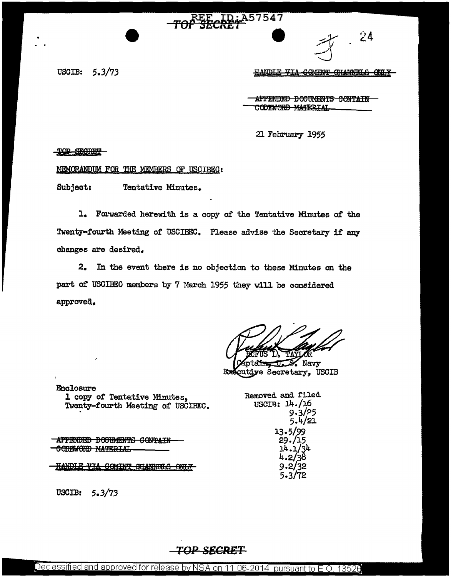#### $\mathbf{D}$  . A57547

USCIB: 5.3/73

HANDLE VIA COMINT CHANNELS ONLY

 $24$ 

AFFENDED DOCUMENTS CONTAIN CODEWORD MATERIAL

21 February 1955

TOP SECRET

MEMORANDUM FOR THE MEMBERS OF USGIBEC:

Subject: Tentative Minutes.

1. Forwarded herewith is a copy of the Tentative Minutes of the Twenty-fourth Meeting of USCIBEC. Please advise the Secretary if any changes are desired.

2. In the event there is no objection to these Minutes on the part of USCIBEC members by 7 March 1955 they will be considered approved.

 $\mathcal{L}$  Navy

utiye Secretary, USCIB

Removed and filed USCIR: 14./16

> 13.5/99 29./15 14.1/34 4.2/38  $9.2/32$ 5.3/72

9.3/?5 5.4/21

.Enclosure l copy of Tentative Minutes, Twenty-fourth Meeting of USCIBEO. .

**APPENDED DOODMENTS GONTAIN** CODEWORD MATERIAL

**HANDLE VIA COMINT OHANNELS ONLY-**

USCIB: 5.3/73

**TOP SECRBT**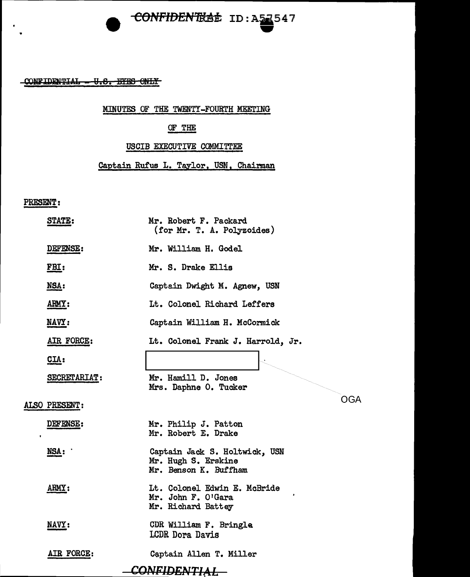## **CONFIDENTRAL ID: A54547 - 34**

CONFIDENTIAL - U.S. EYES ONLY

#### MINUTES OF THE TWENTY-FOURTH MEETING

#### OF THE

#### USCIB EXECUTIVE COMMITTEE

Captain Rufus L. Taylor, USN, Chairman

#### PRESENT:

|              | STATE:        | Mr. Robert F. Packard<br>(for Mr. T. A. Polyzoides)                           |
|--------------|---------------|-------------------------------------------------------------------------------|
|              | DEFENSE:      | Mr. William H. Godel                                                          |
|              | FBI:          | Mr. S. Drake Ellis                                                            |
|              | NSA:          | Captain Dwight M. Agnew, USN                                                  |
|              | ARMY:         | Lt. Colonel Richard Leffers                                                   |
|              | NAVY:         | Captain William H. McCormick                                                  |
|              | AIR FORCE:    | Lt. Colonel Frank J. Harrold, Jr.                                             |
|              | CLA:          |                                                                               |
|              | SECRETARIAT:  | Mr. Hamill D. Jones<br>Mrs. Daphne O. Tucker                                  |
|              | ALSO PRESENT: | OGA                                                                           |
|              | DEFENSE:      | Mr. Philip J. Patton<br>Mr. Robert E. Drake                                   |
|              | NSA:          | Captain Jack S. Holtwick, USN<br>Mr. Hugh S. Erskine<br>Mr. Benson K. Buffham |
|              | ARMY:         | Lt. Colonel Edwin E. McBride<br>Mr. John F. O'Gara<br>Mr. Richard Battey      |
|              | NAVY:         | CDR William F. Bringle<br>LCDR Dora Davis                                     |
|              | AIR FORCE:    | Captain Allen T. Miller                                                       |
| CONFIDENTIAL |               |                                                                               |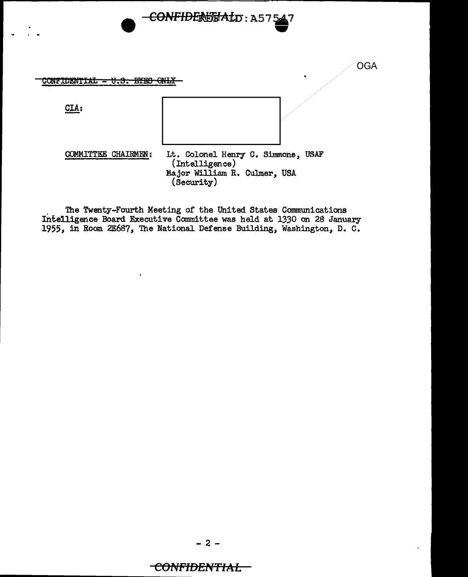

<del>CONFIDERENAI</del>D:A57547

The Twenty-Fourth Meeting of the United States Communications Intelligence Board Executive Committee was held at 1330 on 28 January 1955, in Room 2E687, The National Defense Building, Washington, D. C.